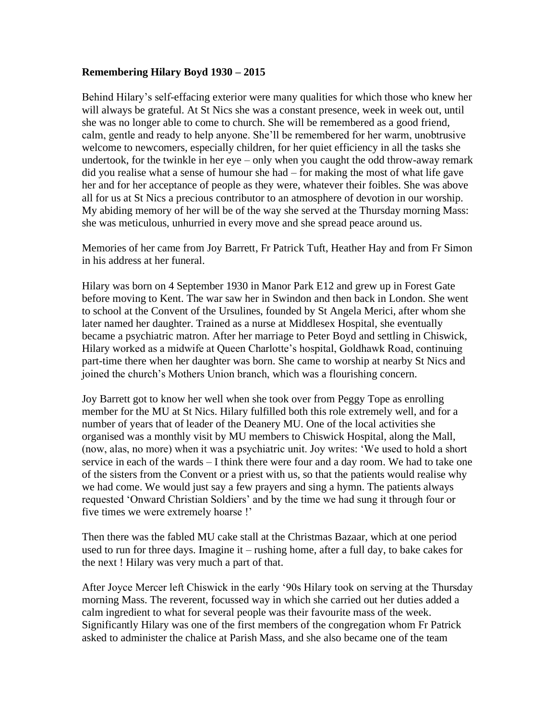## **Remembering Hilary Boyd 1930 – 2015**

Behind Hilary's self-effacing exterior were many qualities for which those who knew her will always be grateful. At St Nics she was a constant presence, week in week out, until she was no longer able to come to church. She will be remembered as a good friend, calm, gentle and ready to help anyone. She'll be remembered for her warm, unobtrusive welcome to newcomers, especially children, for her quiet efficiency in all the tasks she undertook, for the twinkle in her eye – only when you caught the odd throw-away remark did you realise what a sense of humour she had – for making the most of what life gave her and for her acceptance of people as they were, whatever their foibles. She was above all for us at St Nics a precious contributor to an atmosphere of devotion in our worship. My abiding memory of her will be of the way she served at the Thursday morning Mass: she was meticulous, unhurried in every move and she spread peace around us.

Memories of her came from Joy Barrett, Fr Patrick Tuft, Heather Hay and from Fr Simon in his address at her funeral.

Hilary was born on 4 September 1930 in Manor Park E12 and grew up in Forest Gate before moving to Kent. The war saw her in Swindon and then back in London. She went to school at the Convent of the Ursulines, founded by St Angela Merici, after whom she later named her daughter. Trained as a nurse at Middlesex Hospital, she eventually became a psychiatric matron. After her marriage to Peter Boyd and settling in Chiswick, Hilary worked as a midwife at Queen Charlotte's hospital, Goldhawk Road, continuing part-time there when her daughter was born. She came to worship at nearby St Nics and joined the church's Mothers Union branch, which was a flourishing concern.

Joy Barrett got to know her well when she took over from Peggy Tope as enrolling member for the MU at St Nics. Hilary fulfilled both this role extremely well, and for a number of years that of leader of the Deanery MU. One of the local activities she organised was a monthly visit by MU members to Chiswick Hospital, along the Mall, (now, alas, no more) when it was a psychiatric unit. Joy writes: 'We used to hold a short service in each of the wards – I think there were four and a day room. We had to take one of the sisters from the Convent or a priest with us, so that the patients would realise why we had come. We would just say a few prayers and sing a hymn. The patients always requested 'Onward Christian Soldiers' and by the time we had sung it through four or five times we were extremely hoarse !'

Then there was the fabled MU cake stall at the Christmas Bazaar, which at one period used to run for three days. Imagine it – rushing home, after a full day, to bake cakes for the next ! Hilary was very much a part of that.

After Joyce Mercer left Chiswick in the early '90s Hilary took on serving at the Thursday morning Mass. The reverent, focussed way in which she carried out her duties added a calm ingredient to what for several people was their favourite mass of the week. Significantly Hilary was one of the first members of the congregation whom Fr Patrick asked to administer the chalice at Parish Mass, and she also became one of the team